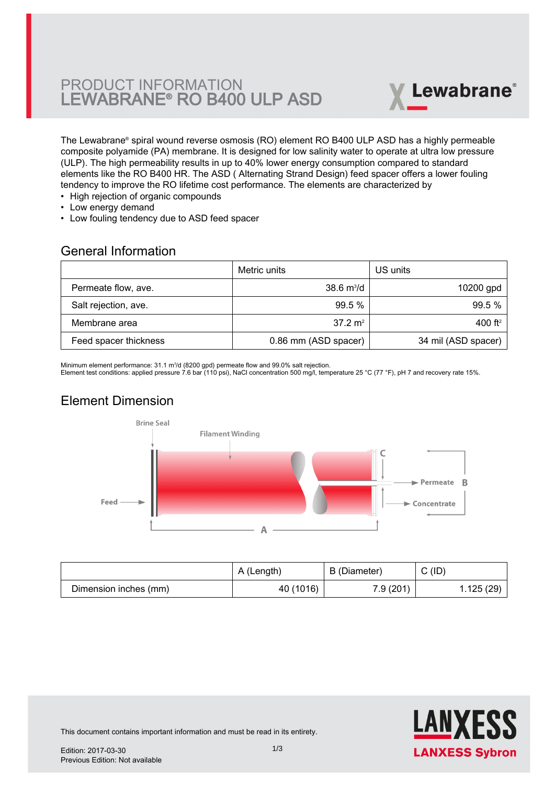## PRODUCT INFORMATION LEWABRANE® RO B400 ULP ASD



The Lewabrane® spiral wound reverse osmosis (RO) element RO B400 ULP ASD has a highly permeable [composite polyamide \(PA\) membrane. It is designed for low salinity water to operate at ultra low pressure](https://www.pureaqua.com/lanxess-lewabrane-b400-ulp-asd-membrane/) (ULP). The high permeability results in up to 40% lower energy consumption compared to standard elements like the RO B400 HR. The ASD ( Alternating Strand Design) feed spacer offers a lower fouling tendency to improve the RO lifetime cost performance. The elements are characterized by

- High rejection of organic compounds
- Low energy demand
- Low fouling tendency due to ASD feed spacer

#### General Information

|                       | Metric units                | US units            |
|-----------------------|-----------------------------|---------------------|
| Permeate flow, ave.   | $38.6 \text{ m}^3/\text{d}$ | 10200 gpd           |
| Salt rejection, ave.  | $99.5 \%$                   | $99.5 \%$           |
| Membrane area         | $37.2 \text{ m}^2$          | 400 ft <sup>2</sup> |
| Feed spacer thickness | 0.86 mm (ASD spacer)        | 34 mil (ASD spacer) |

Minimum element performance: 31.1 m<sup>3</sup>/d (8200 gpd) permeate flow and 99.0% salt rejection.

Element test conditions: applied pressure 7.6 bar (110 psi), NaCl concentration 500 mg/l, temperature 25 °C (77 °F), pH 7 and recovery rate 15%.

## Element Dimension



|                       | A (Length) | B (Diameter) | $C$ (ID)  |
|-----------------------|------------|--------------|-----------|
| Dimension inches (mm) | 40 (1016)  | 7.9(201)     | 1.125(29) |



This document contains important information and must be read in its entirety.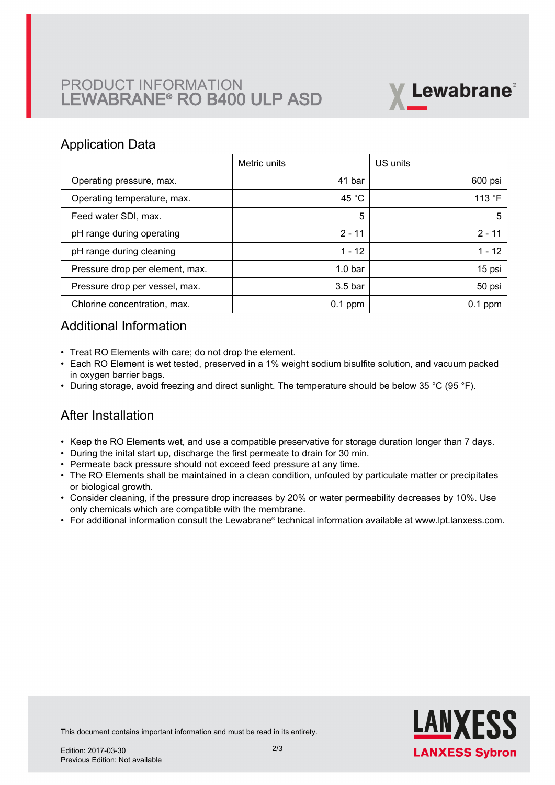# PRODUCT INFORMATION LEWABRANE® RO B400 ULP ASD



### Application Data

|                                 | Metric units | US units  |
|---------------------------------|--------------|-----------|
| Operating pressure, max.        | 41 bar       | 600 psi   |
| Operating temperature, max.     | 45 °C        | 113 °F    |
| Feed water SDI, max.            | 5            | 5         |
| pH range during operating       | $2 - 11$     | $2 - 11$  |
| pH range during cleaning        | $1 - 12$     | $1 - 12$  |
| Pressure drop per element, max. | $1.0b$ ar    | 15 psi    |
| Pressure drop per vessel, max.  | $3.5b$ ar    | 50 psi    |
| Chlorine concentration, max.    | $0.1$ ppm    | $0.1$ ppm |

## Additional Information

- Treat RO Elements with care; do not drop the element.
- Each RO Element is wet tested, preserved in a 1% weight sodium bisulfite solution, and vacuum packed in oxygen barrier bags.
- During storage, avoid freezing and direct sunlight. The temperature should be below 35 °C (95 °F).

## After Installation

- Keep the RO Elements wet, and use a compatible preservative for storage duration longer than 7 days.
- During the inital start up, discharge the first permeate to drain for 30 min.
- Permeate back pressure should not exceed feed pressure at any time.
- The RO Elements shall be maintained in a clean condition, unfouled by particulate matter or precipitates or biological growth.
- $\bullet~$  Consider cleaning, if the pressure drop increases by 20% or water permeability decreases by 10%. Use only chemicals which are compatible with the membrane.
- For additional information consult the Lewabrane® technical information available at www.lpt.lanxess.com.



This document contains important information and must be read in its entirety.